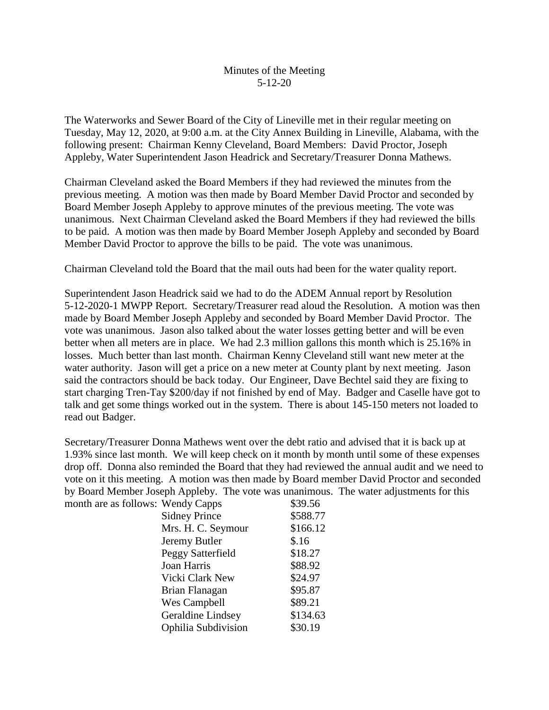## Minutes of the Meeting 5-12-20

The Waterworks and Sewer Board of the City of Lineville met in their regular meeting on Tuesday, May 12, 2020, at 9:00 a.m. at the City Annex Building in Lineville, Alabama, with the following present: Chairman Kenny Cleveland, Board Members: David Proctor, Joseph Appleby, Water Superintendent Jason Headrick and Secretary/Treasurer Donna Mathews.

Chairman Cleveland asked the Board Members if they had reviewed the minutes from the previous meeting. A motion was then made by Board Member David Proctor and seconded by Board Member Joseph Appleby to approve minutes of the previous meeting. The vote was unanimous. Next Chairman Cleveland asked the Board Members if they had reviewed the bills to be paid. A motion was then made by Board Member Joseph Appleby and seconded by Board Member David Proctor to approve the bills to be paid. The vote was unanimous.

Chairman Cleveland told the Board that the mail outs had been for the water quality report.

Superintendent Jason Headrick said we had to do the ADEM Annual report by Resolution 5-12-2020-1 MWPP Report. Secretary/Treasurer read aloud the Resolution. A motion was then made by Board Member Joseph Appleby and seconded by Board Member David Proctor. The vote was unanimous. Jason also talked about the water losses getting better and will be even better when all meters are in place. We had 2.3 million gallons this month which is 25.16% in losses. Much better than last month. Chairman Kenny Cleveland still want new meter at the water authority. Jason will get a price on a new meter at County plant by next meeting. Jason said the contractors should be back today. Our Engineer, Dave Bechtel said they are fixing to start charging Tren-Tay \$200/day if not finished by end of May. Badger and Caselle have got to talk and get some things worked out in the system. There is about 145-150 meters not loaded to read out Badger.

Secretary/Treasurer Donna Mathews went over the debt ratio and advised that it is back up at 1.93% since last month. We will keep check on it month by month until some of these expenses drop off. Donna also reminded the Board that they had reviewed the annual audit and we need to vote on it this meeting. A motion was then made by Board member David Proctor and seconded by Board Member Joseph Appleby. The vote was unanimous. The water adjustments for this month are as

| s follows: Wendy Capps | \$39.56  |
|------------------------|----------|
| <b>Sidney Prince</b>   | \$588.77 |
| Mrs. H. C. Seymour     | \$166.12 |
| Jeremy Butler          | \$.16    |
| Peggy Satterfield      | \$18.27  |
| Joan Harris            | \$88.92  |
| Vicki Clark New        | \$24.97  |
| Brian Flanagan         | \$95.87  |
| Wes Campbell           | \$89.21  |
| Geraldine Lindsey      | \$134.63 |
| Ophilia Subdivision    | \$30.19  |
|                        |          |